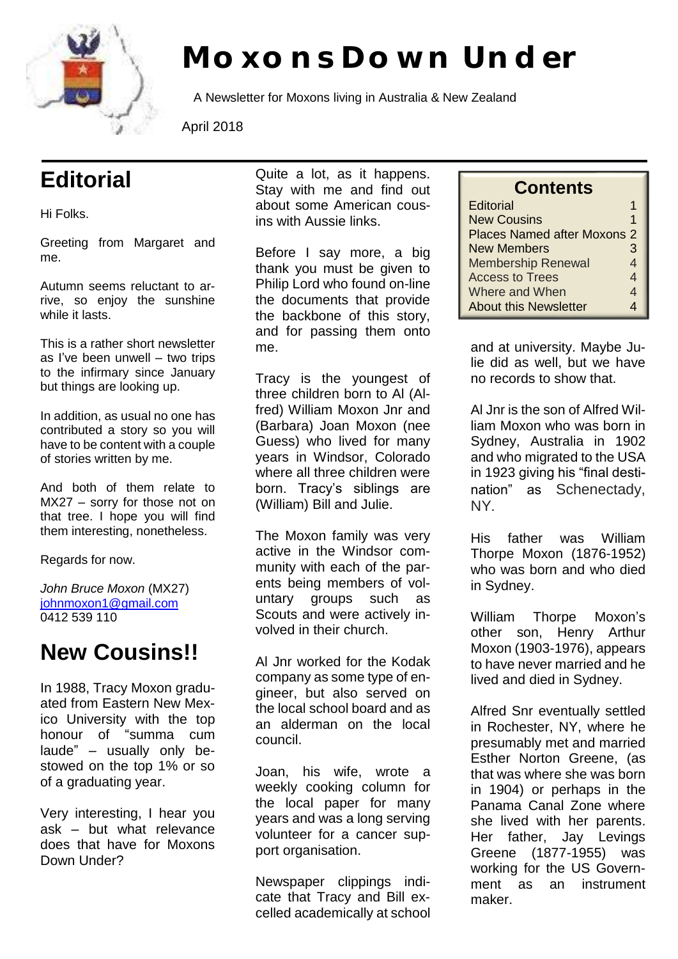

# **Moxons Down Under**

A Newsletter for Moxons living in Australia & New Zealand

April 2018

# **Editorial**

Hi Folks.

Greeting from Margaret and me.

Autumn seems reluctant to arrive, so enjoy the sunshine while it lasts.

This is a rather short newsletter as I've been unwell – two trips to the infirmary since January but things are looking up.

In addition, as usual no one has contributed a story so you will have to be content with a couple of stories written by me.

And both of them relate to MX27 – sorry for those not on that tree. I hope you will find them interesting, nonetheless.

Regards for now.

*John Bruce Moxon* (MX27) [johnmoxon1@gmail.com](mailto:johnmoxon1@gmail.com) 0412 539 110

## **New Cousins!!**

In 1988, Tracy Moxon graduated from Eastern New Mexico University with the top honour of "summa cum laude" – usually only bestowed on the top 1% or so of a graduating year.

Very interesting, I hear you ask – but what relevance does that have for Moxons Down Under?

Quite a lot, as it happens. Stay with me and find out about some American cousins with Aussie links.

Before I say more, a big thank you must be given to Philip Lord who found on-line the documents that provide the backbone of this story, and for passing them onto me.

Tracy is the youngest of three children born to Al (Alfred) William Moxon Jnr and (Barbara) Joan Moxon (nee Guess) who lived for many years in Windsor, Colorado where all three children were born. Tracy's siblings are (William) Bill and Julie.

The Moxon family was very active in the Windsor community with each of the parents being members of voluntary groups such as Scouts and were actively involved in their church.

Al Jnr worked for the Kodak company as some type of engineer, but also served on the local school board and as an alderman on the local council.

Joan, his wife, wrote a weekly cooking column for the local paper for many years and was a long serving volunteer for a cancer support organisation.

Newspaper clippings indicate that Tracy and Bill excelled academically at school

| <b>Contents</b> |
|-----------------|
|-----------------|

| Editorial                          |   |
|------------------------------------|---|
| <b>New Cousins</b>                 | 1 |
| <b>Places Named after Moxons 2</b> |   |
| <b>New Members</b>                 | З |
| <b>Membership Renewal</b>          | 4 |
| <b>Access to Trees</b>             | 4 |
| Where and When                     | 4 |
| <b>About this Newsletter</b>       |   |

and at university. Maybe Julie did as well, but we have no records to show that.

Al Jnr is the son of Alfred William Moxon who was born in Sydney, Australia in 1902 and who migrated to the USA in 1923 giving his "final destination" as Schenectady, NY.

His father was William Thorpe Moxon (1876-1952) who was born and who died in Sydney.

William Thorpe Moxon's other son, Henry Arthur Moxon (1903-1976), appears to have never married and he lived and died in Sydney.

Alfred Snr eventually settled in Rochester, NY, where he presumably met and married Esther Norton Greene, (as that was where she was born in 1904) or perhaps in the Panama Canal Zone where she lived with her parents. Her father, Jay Levings Greene (1877-1955) was working for the US Government as an instrument maker.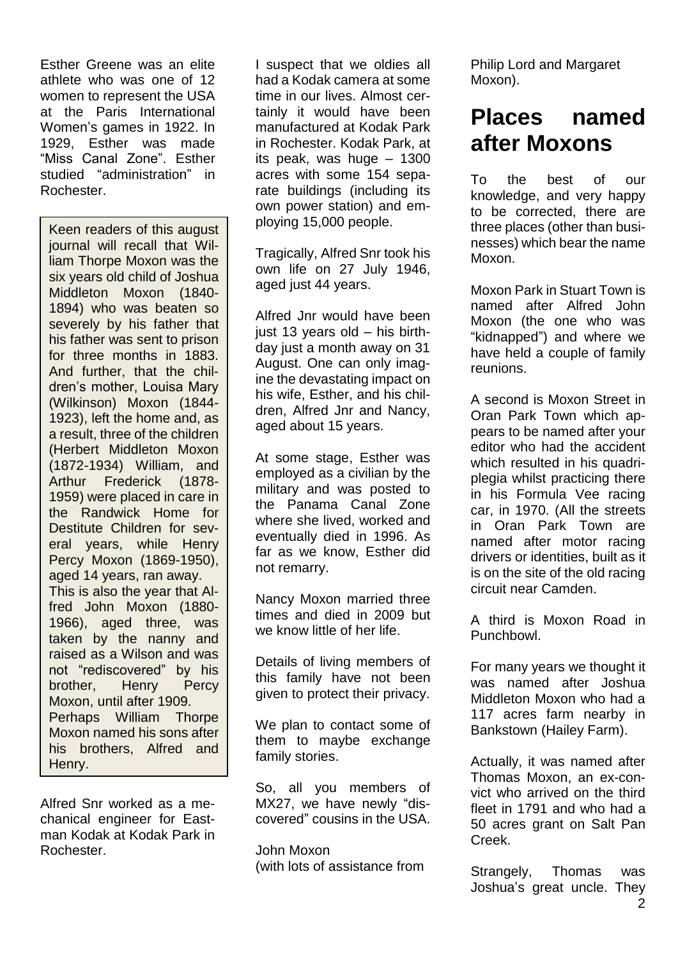Esther Greene was an elite athlete who was one of 12 women to represent the USA at the Paris International Women's games in 1922. In 1929, Esther was made "Miss Canal Zone". Esther studied "administration" in Rochester.

Keen readers of this august journal will recall that William Thorpe Moxon was the six years old child of Joshua Middleton Moxon (1840- 1894) who was beaten so severely by his father that his father was sent to prison for three months in 1883. And further, that the children's mother, Louisa Mary (Wilkinson) Moxon (1844- 1923), left the home and, as a result, three of the children (Herbert Middleton Moxon (1872-1934) William, and Arthur Frederick (1878- 1959) were placed in care in the Randwick Home for Destitute Children for several years, while Henry Percy Moxon (1869-1950), aged 14 years, ran away. This is also the year that Alfred John Moxon (1880- 1966), aged three, was taken by the nanny and raised as a Wilson and was not "rediscovered" by his brother, Henry Percy Moxon, until after 1909. Perhaps William Thorpe Moxon named his sons after his brothers, Alfred and Henry.

Alfred Snr worked as a mechanical engineer for Eastman Kodak at Kodak Park in Rochester.

I suspect that we oldies all had a Kodak camera at some time in our lives. Almost certainly it would have been manufactured at Kodak Park in Rochester. Kodak Park, at its peak, was huge – 1300 acres with some 154 separate buildings (including its own power station) and employing 15,000 people.

Tragically, Alfred Snr took his own life on 27 July 1946, aged just 44 years.

Alfred Jnr would have been just 13 years old – his birthday just a month away on 31 August. One can only imagine the devastating impact on his wife, Esther, and his children, Alfred Jnr and Nancy, aged about 15 years.

At some stage, Esther was employed as a civilian by the military and was posted to the Panama Canal Zone where she lived, worked and eventually died in 1996. As far as we know, Esther did not remarry.

Nancy Moxon married three times and died in 2009 but we know little of her life.

Details of living members of this family have not been given to protect their privacy.

We plan to contact some of them to maybe exchange family stories.

So, all you members of MX27, we have newly "discovered" cousins in the USA.

John Moxon (with lots of assistance from Philip Lord and Margaret Moxon).

#### **Places named after Moxons**

To the best of our knowledge, and very happy to be corrected, there are three places (other than businesses) which bear the name Moxon.

Moxon Park in Stuart Town is named after Alfred John Moxon (the one who was "kidnapped") and where we have held a couple of family reunions.

A second is Moxon Street in Oran Park Town which appears to be named after your editor who had the accident which resulted in his quadriplegia whilst practicing there in his Formula Vee racing car, in 1970. (All the streets in Oran Park Town are named after motor racing drivers or identities, built as it is on the site of the old racing circuit near Camden.

A third is Moxon Road in Punchbowl.

For many years we thought it was named after Joshua Middleton Moxon who had a 117 acres farm nearby in Bankstown (Hailey Farm).

Actually, it was named after Thomas Moxon, an ex-convict who arrived on the third fleet in 1791 and who had a 50 acres grant on Salt Pan Creek.

Strangely, Thomas was Joshua's great uncle. They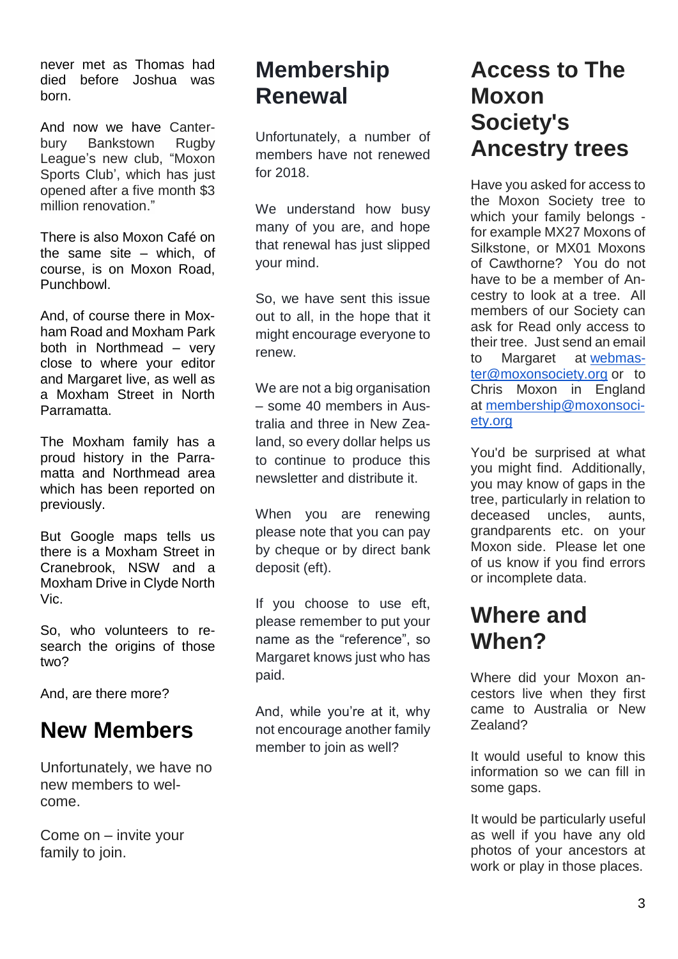never met as Thomas had died before Joshua was born.

And now we have Canterbury Bankstown Rugby League's new club, "Moxon Sports Club', which has just opened after a five month \$3 million renovation."

There is also Moxon Café on the same site – which, of course, is on Moxon Road, Punchbowl.

And, of course there in Moxham Road and Moxham Park both in Northmead – very close to where your editor and Margaret live, as well as a Moxham Street in North Parramatta.

The Moxham family has a proud history in the Parramatta and Northmead area which has been reported on previously.

But Google maps tells us there is a Moxham Street in Cranebrook, NSW and a Moxham Drive in Clyde North Vic.

So, who volunteers to research the origins of those two?

And, are there more?

#### **New Members**

Unfortunately, we have no new members to welcome.

Come on – invite your family to join.

#### **Membership Renewal**

Unfortunately, a number of members have not renewed for 2018.

We understand how busy many of you are, and hope that renewal has just slipped your mind.

So, we have sent this issue out to all, in the hope that it might encourage everyone to renew.

We are not a big organisation – some 40 members in Australia and three in New Zealand, so every dollar helps us to continue to produce this newsletter and distribute it.

When you are renewing please note that you can pay by cheque or by direct bank deposit (eft).

If you choose to use eft, please remember to put your name as the "reference", so Margaret knows just who has paid.

And, while you're at it, why not encourage another family member to join as well?

#### **Access to The Moxon Society's Ancestry trees**

Have you asked for access to the Moxon Society tree to which your family belongs for example MX27 Moxons of Silkstone, or MX01 Moxons of Cawthorne? You do not have to be a member of Ancestry to look at a tree. All members of our Society can ask for Read only access to their tree. Just send an email to Margaret at [webmas](mailto:webmaster@moxonsociety.org)[ter@moxonsociety.org](mailto:webmaster@moxonsociety.org) or to Chris Moxon in England at [membership@moxonsoci](mailto:membership@moxonsociety.org)[ety.org](mailto:membership@moxonsociety.org)

You'd be surprised at what you might find. Additionally, you may know of gaps in the tree, particularly in relation to deceased uncles, aunts, grandparents etc. on your Moxon side. Please let one of us know if you find errors or incomplete data.

## **Where and When?**

Where did your Moxon ancestors live when they first came to Australia or New Zealand?

It would useful to know this information so we can fill in some gaps.

It would be particularly useful as well if you have any old photos of your ancestors at work or play in those places.